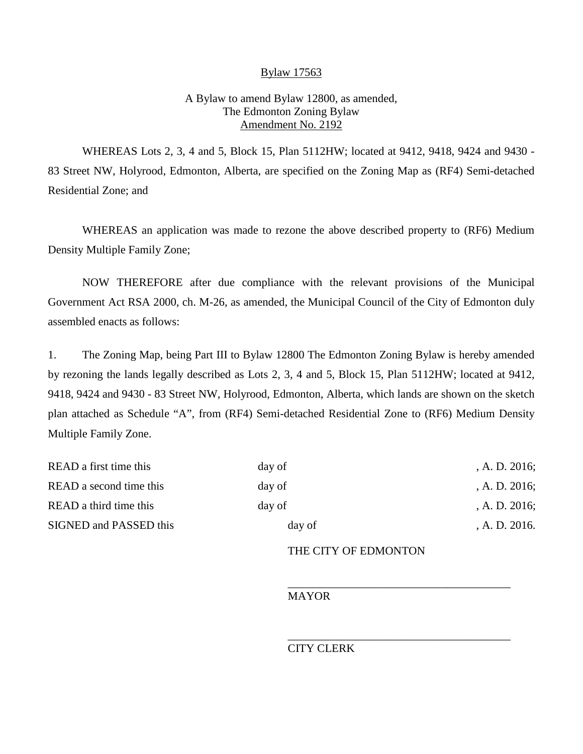## Bylaw 17563

## A Bylaw to amend Bylaw 12800, as amended, The Edmonton Zoning Bylaw Amendment No. 2192

WHEREAS Lots 2, 3, 4 and 5, Block 15, Plan 5112HW; located at 9412, 9418, 9424 and 9430 - 83 Street NW, Holyrood, Edmonton, Alberta, are specified on the Zoning Map as (RF4) Semi-detached Residential Zone; and

WHEREAS an application was made to rezone the above described property to (RF6) Medium Density Multiple Family Zone;

NOW THEREFORE after due compliance with the relevant provisions of the Municipal Government Act RSA 2000, ch. M-26, as amended, the Municipal Council of the City of Edmonton duly assembled enacts as follows:

1. The Zoning Map, being Part III to Bylaw 12800 The Edmonton Zoning Bylaw is hereby amended by rezoning the lands legally described as Lots 2, 3, 4 and 5, Block 15, Plan 5112HW; located at 9412, 9418, 9424 and 9430 - 83 Street NW, Holyrood, Edmonton, Alberta, which lands are shown on the sketch plan attached as Schedule "A", from (RF4) Semi-detached Residential Zone to (RF6) Medium Density Multiple Family Zone.

| READ a first time this  | day of | , A. D. $2016$ ; |
|-------------------------|--------|------------------|
| READ a second time this | day of | , A. D. $2016$ ; |
| READ a third time this  | day of | , A. D. $2016$ ; |
| SIGNED and PASSED this  | day of | A. D. 2016.      |
|                         |        |                  |

## THE CITY OF EDMONTON

\_\_\_\_\_\_\_\_\_\_\_\_\_\_\_\_\_\_\_\_\_\_\_\_\_\_\_\_\_\_\_\_\_\_\_\_\_\_\_

\_\_\_\_\_\_\_\_\_\_\_\_\_\_\_\_\_\_\_\_\_\_\_\_\_\_\_\_\_\_\_\_\_\_\_\_\_\_\_

MAYOR

## CITY CLERK